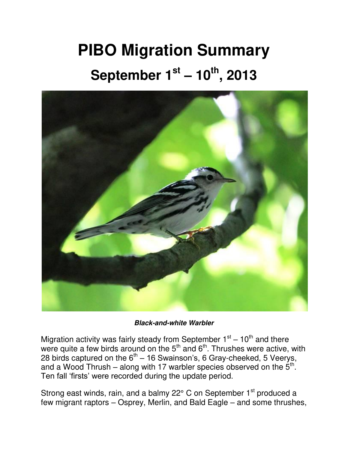## **PIBO Migration Summary September 1st – 10th, 2013**



*Black-and-white Warbler*

Migration activity was fairly steady from September  $1<sup>st</sup> - 10<sup>th</sup>$  and there were quite a few birds around on the  $5<sup>th</sup>$  and  $6<sup>th</sup>$ . Thrushes were active, with 28 birds captured on the  $6<sup>th</sup> - 16$  Swainson's, 6 Gray-cheeked, 5 Veerys, and a Wood Thrush – along with 17 warbler species observed on the  $5<sup>th</sup>$ . Ten fall 'firsts' were recorded during the update period.

Strong east winds, rain, and a balmy 22° C on September 1<sup>st</sup> produced a few migrant raptors – Osprey, Merlin, and Bald Eagle – and some thrushes,